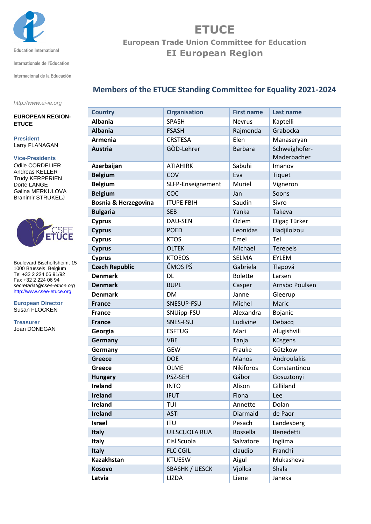

**Education International**

**Internationale de l'Education**

**Internacional de la Educación**

## **Members of the ETUCE Standing Committee for Equality 2021-2024**

*http://www.ei-ie.org*

## **EUROPEAN REGION-ETUCE**

**President** Larry FLANAGAN

## **Vice-Presidents**

Odile CORDELIER Andreas KELLER Trudy KERPERIEN Dorte LANGE Galina MERKULOVA Branimir STRUKELJ



Boulevard Bischoffsheim, 15 1000 Brussels, Belgium Tel +32 2 224 06 91/92 Fax +32 2 224 06 94 *secretariat@csee-etuce.org* [http://www.csee-etuce.org](http://www.csee-etuce.org/)

**European Director** Susan FLOCKEN

**Treasurer** Joan DONEGAN

| <b>Country</b>                  | <b>Organisation</b> | <b>First name</b> | <b>Last name</b> |
|---------------------------------|---------------------|-------------------|------------------|
| <b>Albania</b>                  | <b>SPASH</b>        | <b>Nevrus</b>     | Kaptelli         |
| <b>Albania</b>                  | <b>FSASH</b>        | Rajmonda          | Grabocka         |
| <b>Armenia</b>                  | <b>CRSTESA</b>      | Elen              | Manaseryan       |
| <b>Austria</b>                  | GÖD-Lehrer          | <b>Barbara</b>    | Schweighofer-    |
|                                 |                     |                   | Maderbacher      |
| Azerbaijan                      | <b>ATIAHIRK</b>     | Sabuhi            | Imanov           |
| <b>Belgium</b>                  | COV                 | Eva               | Tiquet           |
| <b>Belgium</b>                  | SLFP-Enseignement   | Muriel            | Vigneron         |
| <b>Belgium</b>                  | COC                 | Jan               | Soons            |
| <b>Bosnia &amp; Herzegovina</b> | <b>ITUPE FBIH</b>   | Saudin            | Sivro            |
| <b>Bulgaria</b>                 | <b>SEB</b>          | Yanka             | Takeva           |
| <b>Cyprus</b>                   | DAU-SEN             | Özlem             | Olgaç Türker     |
| <b>Cyprus</b>                   | <b>POED</b>         | Leonidas          | Hadjiloizou      |
| <b>Cyprus</b>                   | <b>KTOS</b>         | Emel              | Tel              |
| <b>Cyprus</b>                   | <b>OLTEK</b>        | Michael           | <b>Terepeis</b>  |
| <b>Cyprus</b>                   | <b>KTOEOS</b>       | <b>SELMA</b>      | <b>EYLEM</b>     |
| <b>Czech Republic</b>           | ČMOS PŠ             | Gabriela          | Tlapová          |
| <b>Denmark</b>                  | DL                  | <b>Bolette</b>    | Larsen           |
| <b>Denmark</b>                  | <b>BUPL</b>         | Casper            | Arnsbo Poulsen   |
| <b>Denmark</b>                  | <b>DM</b>           | Janne             | Gleerup          |
| <b>France</b>                   | SNESUP-FSU          | Michel            | Maric            |
| <b>France</b>                   | SNUipp-FSU          | Alexandra         | Bojanic          |
| <b>France</b>                   | SNES-FSU            | Ludivine          | Debacq           |
| Georgia                         | <b>ESFTUG</b>       | Mari              | Alugishvili      |
| Germany                         | <b>VBE</b>          | Tanja             | Küsgens          |
| Germany                         | <b>GEW</b>          | Frauke            | Gützkow          |
| <b>Greece</b>                   | <b>DOE</b>          | Manos             | Androulakis      |
| <b>Greece</b>                   | <b>OLME</b>         | <b>Nikiforos</b>  | Constantinou     |
| <b>Hungary</b>                  | PSZ-SEH             | Gábor             | Gosuztonyi       |
| Ireland                         | <b>INTO</b>         | Alison            | Gilliland        |
| <b>Ireland</b>                  | <b>IFUT</b>         | Fiona             | Lee              |
| <b>Ireland</b>                  | TUI                 | Annette           | Dolan            |
| <b>Ireland</b>                  | <b>ASTI</b>         | Diarmaid          | de Paor          |
| <b>Israel</b>                   | <b>ITU</b>          | Pesach            | Landesberg       |
| <b>Italy</b>                    | UILSCUOLA RUA       | Rossella          | Benedetti        |
| <b>Italy</b>                    | Cisl Scuola         | Salvatore         | Inglima          |
| Italy                           | <b>FLC CGIL</b>     | claudio           | Franchi          |
| <b>Kazakhstan</b>               | <b>KTUESW</b>       | Aigul             | Mukasheva        |
| Kosovo                          | SBASHK / UESCK      | Vjollca           | Shala            |
| Latvia                          | <b>LIZDA</b>        | Liene             | Janeka           |

## **ETUCE**

**European Trade Union Committee for Education EI European Region**